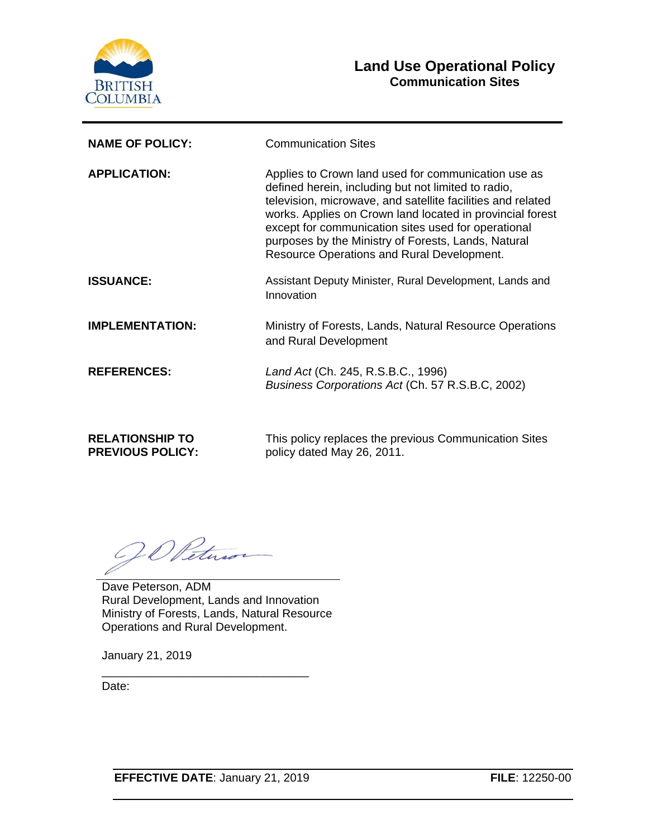

### **Land Use Operational Policy Communication Sites**

| <b>NAME OF POLICY:</b> | <b>Communication Sites</b>                                                                                                                                                                                                                                                                                                                                                                         |
|------------------------|----------------------------------------------------------------------------------------------------------------------------------------------------------------------------------------------------------------------------------------------------------------------------------------------------------------------------------------------------------------------------------------------------|
| <b>APPLICATION:</b>    | Applies to Crown land used for communication use as<br>defined herein, including but not limited to radio,<br>television, microwave, and satellite facilities and related<br>works. Applies on Crown land located in provincial forest<br>except for communication sites used for operational<br>purposes by the Ministry of Forests, Lands, Natural<br>Resource Operations and Rural Development. |
| <b>ISSUANCE:</b>       | Assistant Deputy Minister, Rural Development, Lands and<br>Innovation                                                                                                                                                                                                                                                                                                                              |
| <b>IMPLEMENTATION:</b> | Ministry of Forests, Lands, Natural Resource Operations<br>and Rural Development                                                                                                                                                                                                                                                                                                                   |
| <b>REFERENCES:</b>     | Land Act (Ch. 245, R.S.B.C., 1996)<br>Business Corporations Act (Ch. 57 R.S.B.C, 2002)                                                                                                                                                                                                                                                                                                             |

**RELATIONSHIP TO PREVIOUS POLICY:** This policy replaces the previous Communication Sites policy dated May 26, 2011.

OD Petuso

Dave Peterson, ADM Rural Development, Lands and Innovation Ministry of Forests, Lands, Natural Resource Operations and Rural Development.

\_\_\_\_\_\_\_\_\_\_\_\_\_\_\_\_\_\_\_\_\_\_\_\_\_\_\_\_\_\_\_\_

January 21, 2019

Date:

**EFFECTIVE DATE**: January 21, 2019 **FILE**: 12250-00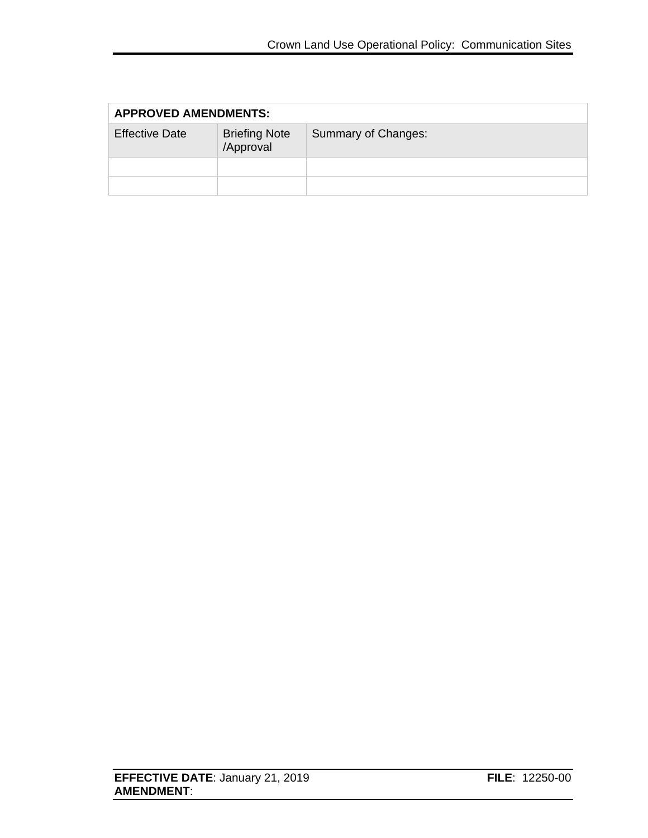| <b>APPROVED AMENDMENTS:</b> |                                   |                     |
|-----------------------------|-----------------------------------|---------------------|
| <b>Effective Date</b>       | <b>Briefing Note</b><br>/Approval | Summary of Changes: |
|                             |                                   |                     |
|                             |                                   |                     |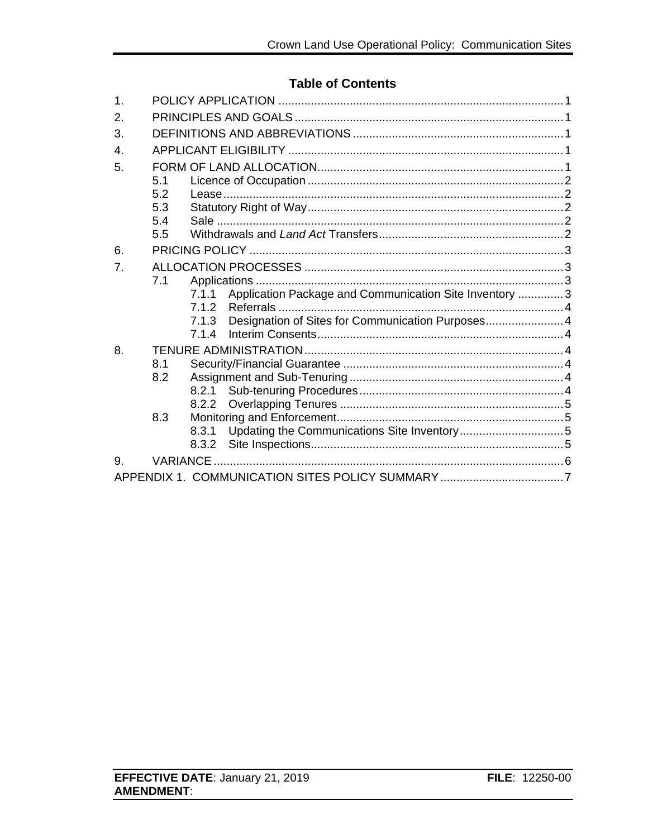### **Table of Contents**

| 1.             |           |                                                                  |  |
|----------------|-----------|------------------------------------------------------------------|--|
| 2.             |           |                                                                  |  |
| 3.             |           |                                                                  |  |
| $\mathbf{4}$ . |           |                                                                  |  |
| 5.             |           |                                                                  |  |
|                | 5.1       |                                                                  |  |
|                | 5.2       |                                                                  |  |
|                | 5.3       |                                                                  |  |
|                | 5.4       |                                                                  |  |
|                | 5.5       |                                                                  |  |
| 6.             |           |                                                                  |  |
| 7.             |           |                                                                  |  |
|                | 7.1       |                                                                  |  |
|                |           | Application Package and Communication Site Inventory  3<br>7.1.1 |  |
|                |           | 7.1.2                                                            |  |
|                |           | Designation of Sites for Communication Purposes 4<br>7.1.3       |  |
|                |           | 7.14                                                             |  |
| 8.             |           |                                                                  |  |
|                | 8.1       |                                                                  |  |
|                | 8.2       |                                                                  |  |
|                |           | 8.2.1                                                            |  |
|                |           | 8.2.2                                                            |  |
|                | 8.3       |                                                                  |  |
|                |           | 8.3.1                                                            |  |
|                |           | 8.3.2                                                            |  |
| 9.             | VARIANCE. |                                                                  |  |
|                |           |                                                                  |  |
|                |           |                                                                  |  |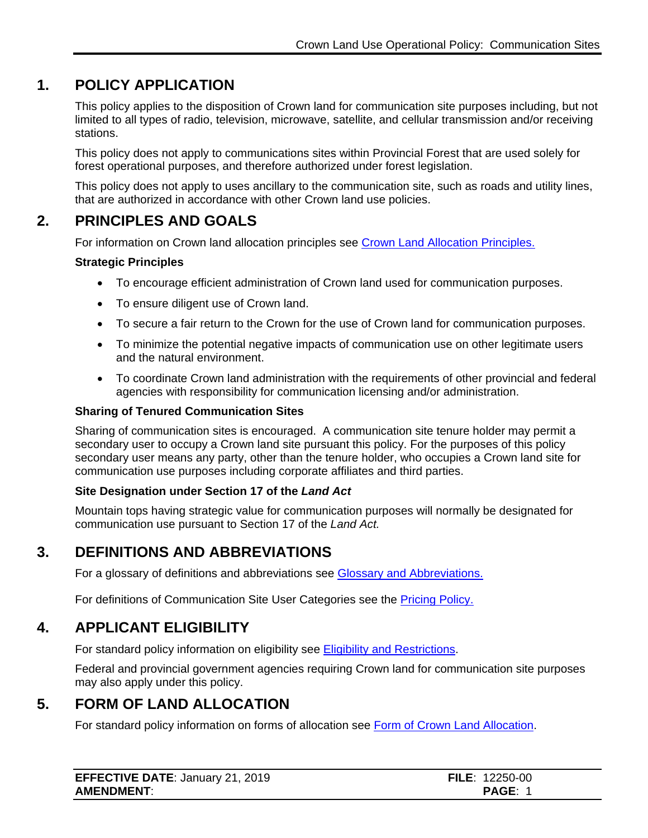## **1. POLICY APPLICATION**

<span id="page-3-0"></span>This policy applies to the disposition of Crown land for communication site purposes including, but not limited to all types of radio, television, microwave, satellite, and cellular transmission and/or receiving stations.

This policy does not apply to communications sites within Provincial Forest that are used solely for forest operational purposes, and therefore authorized under forest legislation.

This policy does not apply to uses ancillary to the communication site, such as roads and utility lines, that are authorized in accordance with other Crown land use policies.

## **2. PRINCIPLES AND GOALS**

<span id="page-3-1"></span>For information on Crown land allocation principles see [Crown Land Allocation Principles.](https://www2.gov.bc.ca/assets/gov/farming-natural-resources-and-industry/natural-resource-use/land-water-use/crown-land/allocation_principles.pdf)

#### **Strategic Principles**

- To encourage efficient administration of Crown land used for communication purposes.
- To ensure diligent use of Crown land.
- To secure a fair return to the Crown for the use of Crown land for communication purposes.
- To minimize the potential negative impacts of communication use on other legitimate users and the natural environment.
- To coordinate Crown land administration with the requirements of other provincial and federal agencies with responsibility for communication licensing and/or administration.

#### **Sharing of Tenured Communication Sites**

Sharing of communication sites is encouraged. A communication site tenure holder may permit a secondary user to occupy a Crown land site pursuant this policy. For the purposes of this policy secondary user means any party, other than the tenure holder, who occupies a Crown land site for communication use purposes including corporate affiliates and third parties.

#### **Site Designation under Section 17 of the** *Land Act*

Mountain tops having strategic value for communication purposes will normally be designated for communication use pursuant to Section 17 of the *Land Act.*

## **3. DEFINITIONS AND ABBREVIATIONS**

<span id="page-3-2"></span>For a glossary of definitions and abbreviations see [Glossary and Abbreviations.](https://www2.gov.bc.ca/assets/gov/farming-natural-resources-and-industry/natural-resource-use/land-water-use/crown-land/glossary_and_abbreviations.pdf)

For definitions of Communication Site User Categories see the [Pricing Policy.](https://www2.gov.bc.ca/assets/gov/farming-natural-resources-and-industry/natural-resource-use/land-water-use/crown-land/pricing.pdf)

### **4. APPLICANT ELIGIBILITY**

<span id="page-3-3"></span>For standard policy information on eligibility see [Eligibility and Restrictions.](http://www2.gov.bc.ca/assets/gov/farming-natural-resources-and-industry/natural-resource-use/land-water-use/crown-land/eligibility.pdf)

Federal and provincial government agencies requiring Crown land for communication site purposes may also apply under this policy.

### **5. FORM OF LAND ALLOCATION**

<span id="page-3-4"></span>For standard policy information on forms of allocation see [Form of Crown Land Allocation.](http://www2.gov.bc.ca/assets/gov/farming-natural-resources-and-industry/natural-resource-use/land-water-use/crown-land/form_of_allocation.pdf)

| <b>EFFECTIVE DATE: January 21, 2019</b> | <b>FILE: 12250-00</b> |
|-----------------------------------------|-----------------------|
| <b>AMENDMENT:</b>                       | <b>PAGE:</b>          |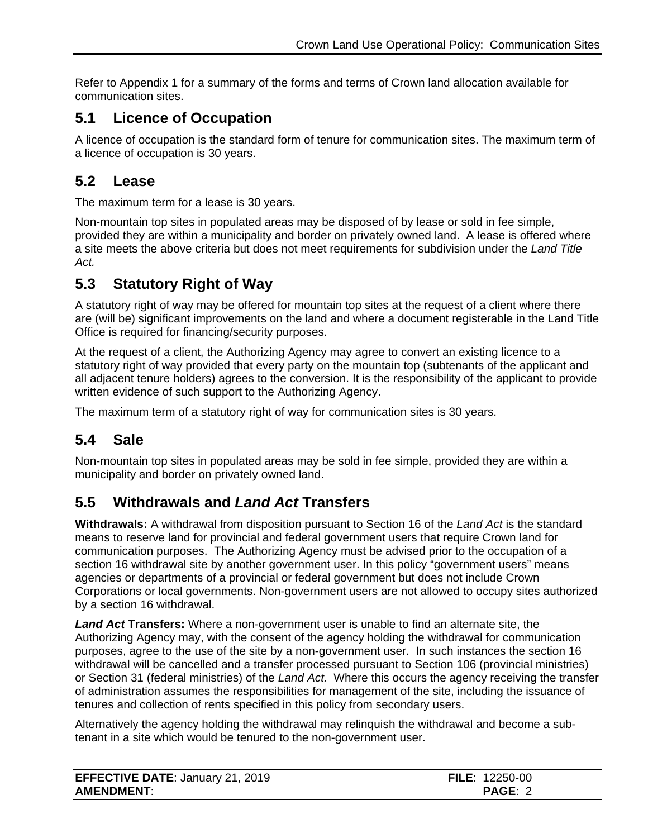Refer to Appendix 1 for a summary of the forms and terms of Crown land allocation available for communication sites.

# <span id="page-4-0"></span>**5.1 Licence of Occupation**

A licence of occupation is the standard form of tenure for communication sites. The maximum term of a licence of occupation is 30 years.

## <span id="page-4-1"></span>**5.2 Lease**

The maximum term for a lease is 30 years.

Non-mountain top sites in populated areas may be disposed of by lease or sold in fee simple, provided they are within a municipality and border on privately owned land. A lease is offered where a site meets the above criteria but does not meet requirements for subdivision under the *Land Title Act.*

# <span id="page-4-2"></span>**5.3 Statutory Right of Way**

A statutory right of way may be offered for mountain top sites at the request of a client where there are (will be) significant improvements on the land and where a document registerable in the Land Title Office is required for financing/security purposes.

At the request of a client, the Authorizing Agency may agree to convert an existing licence to a statutory right of way provided that every party on the mountain top (subtenants of the applicant and all adjacent tenure holders) agrees to the conversion. It is the responsibility of the applicant to provide written evidence of such support to the Authorizing Agency.

The maximum term of a statutory right of way for communication sites is 30 years.

# <span id="page-4-3"></span>**5.4 Sale**

Non-mountain top sites in populated areas may be sold in fee simple, provided they are within a municipality and border on privately owned land.

# <span id="page-4-4"></span>**5.5 Withdrawals and** *Land Act* **Transfers**

**Withdrawals:** A withdrawal from disposition pursuant to Section 16 of the *Land Act* is the standard means to reserve land for provincial and federal government users that require Crown land for communication purposes. The Authorizing Agency must be advised prior to the occupation of a section 16 withdrawal site by another government user. In this policy "government users" means agencies or departments of a provincial or federal government but does not include Crown Corporations or local governments. Non-government users are not allowed to occupy sites authorized by a section 16 withdrawal.

*Land Act* **Transfers:** Where a non-government user is unable to find an alternate site, the Authorizing Agency may, with the consent of the agency holding the withdrawal for communication purposes, agree to the use of the site by a non-government user. In such instances the section 16 withdrawal will be cancelled and a transfer processed pursuant to Section 106 (provincial ministries) or Section 31 (federal ministries) of the *Land Act.* Where this occurs the agency receiving the transfer of administration assumes the responsibilities for management of the site, including the issuance of tenures and collection of rents specified in this policy from secondary users.

Alternatively the agency holding the withdrawal may relinquish the withdrawal and become a subtenant in a site which would be tenured to the non-government user.

| <b>EFFECTIVE DATE: January 21, 2019</b> | <b>FILE: 12250-00</b> |
|-----------------------------------------|-----------------------|
| <b>AMENDMENT:</b>                       | PAGE: 2               |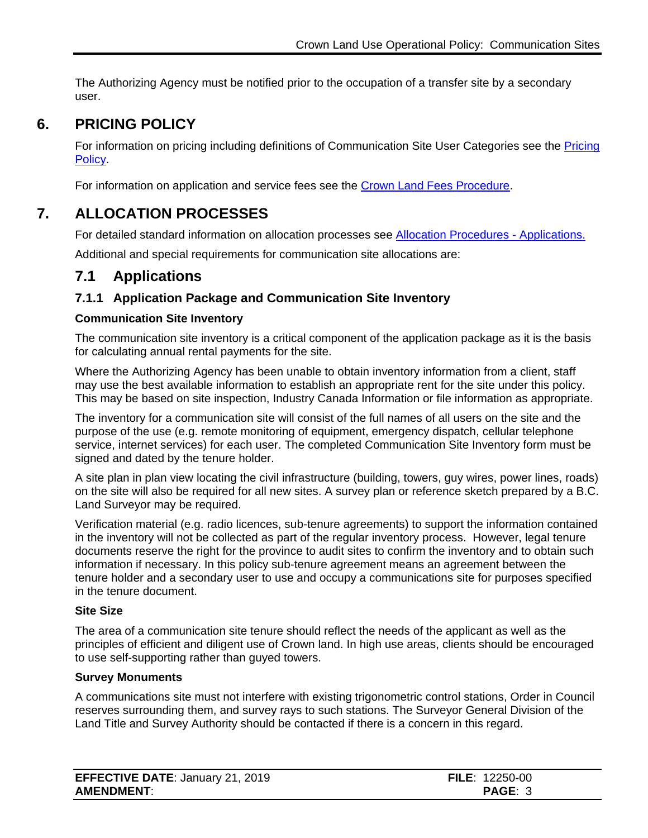The Authorizing Agency must be notified prior to the occupation of a transfer site by a secondary user.

# **6. PRICING POLICY**

<span id="page-5-0"></span>For information on pricing including definitions of Communication Site User Categories see the [Pricing](https://www2.gov.bc.ca/assets/gov/farming-natural-resources-and-industry/natural-resource-use/land-water-use/crown-land/pricing.pdf#page=57)  [Policy.](https://www2.gov.bc.ca/assets/gov/farming-natural-resources-and-industry/natural-resource-use/land-water-use/crown-land/pricing.pdf)

For information on application and service fees see the [Crown Land Fees Procedure.](https://www2.gov.bc.ca/assets/gov/farming-natural-resources-and-industry/natural-resource-use/land-water-use/crown-land/fees.pdf)

# **7. ALLOCATION PROCESSES**

<span id="page-5-1"></span>For detailed standard information on allocation processes see [Allocation Procedures -](https://www2.gov.bc.ca/assets/gov/farming-natural-resources-and-industry/natural-resource-use/land-water-use/crown-land/ap_applications.pdf) Applications.

Additional and special requirements for communication site allocations are:

## <span id="page-5-2"></span>**7.1 Applications**

### <span id="page-5-3"></span>**7.1.1 Application Package and Communication Site Inventory**

#### **Communication Site Inventory**

The communication site inventory is a critical component of the application package as it is the basis for calculating annual rental payments for the site.

Where the Authorizing Agency has been unable to obtain inventory information from a client, staff may use the best available information to establish an appropriate rent for the site under this policy. This may be based on site inspection, Industry Canada Information or file information as appropriate.

The inventory for a communication site will consist of the full names of all users on the site and the purpose of the use (e.g. remote monitoring of equipment, emergency dispatch, cellular telephone service, internet services) for each user. The completed Communication Site Inventory form must be signed and dated by the tenure holder.

A site plan in plan view locating the civil infrastructure (building, towers, guy wires, power lines, roads) on the site will also be required for all new sites. A survey plan or reference sketch prepared by a B.C. Land Surveyor may be required.

Verification material (e.g. radio licences, sub-tenure agreements) to support the information contained in the inventory will not be collected as part of the regular inventory process. However, legal tenure documents reserve the right for the province to audit sites to confirm the inventory and to obtain such information if necessary. In this policy sub-tenure agreement means an agreement between the tenure holder and a secondary user to use and occupy a communications site for purposes specified in the tenure document.

#### **Site Size**

The area of a communication site tenure should reflect the needs of the applicant as well as the principles of efficient and diligent use of Crown land. In high use areas, clients should be encouraged to use self-supporting rather than guyed towers.

#### **Survey Monuments**

A communications site must not interfere with existing trigonometric control stations, Order in Council reserves surrounding them, and survey rays to such stations. The Surveyor General Division of the Land Title and Survey Authority should be contacted if there is a concern in this regard.

| <b>EFFECTIVE DATE: January 21, 2019</b> | <b>FILE:</b> $12250-00$ |
|-----------------------------------------|-------------------------|
| <b>AMENDMENT:</b>                       | <b>PAGE: 3</b>          |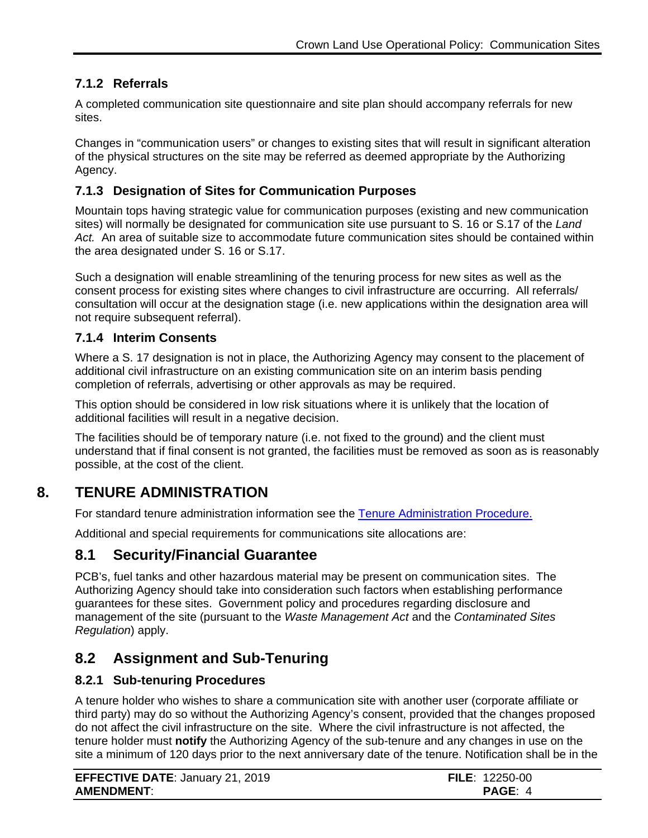### <span id="page-6-0"></span>**7.1.2 Referrals**

A completed communication site questionnaire and site plan should accompany referrals for new sites.

Changes in "communication users" or changes to existing sites that will result in significant alteration of the physical structures on the site may be referred as deemed appropriate by the Authorizing Agency.

### <span id="page-6-1"></span>**7.1.3 Designation of Sites for Communication Purposes**

Mountain tops having strategic value for communication purposes (existing and new communication sites) will normally be designated for communication site use pursuant to S. 16 or S.17 of the *Land Act.* An area of suitable size to accommodate future communication sites should be contained within the area designated under S. 16 or S.17.

Such a designation will enable streamlining of the tenuring process for new sites as well as the consent process for existing sites where changes to civil infrastructure are occurring. All referrals/ consultation will occur at the designation stage (i.e. new applications within the designation area will not require subsequent referral).

### <span id="page-6-2"></span>**7.1.4 Interim Consents**

Where a S. 17 designation is not in place, the Authorizing Agency may consent to the placement of additional civil infrastructure on an existing communication site on an interim basis pending completion of referrals, advertising or other approvals as may be required.

This option should be considered in low risk situations where it is unlikely that the location of additional facilities will result in a negative decision.

The facilities should be of temporary nature (i.e. not fixed to the ground) and the client must understand that if final consent is not granted, the facilities must be removed as soon as is reasonably possible, at the cost of the client.

# **8. TENURE ADMINISTRATION**

<span id="page-6-3"></span>For standard tenure administration information see the [Tenure Administration Procedure.](https://www2.gov.bc.ca/assets/gov/farming-natural-resources-and-industry/natural-resource-use/land-water-use/crown-land/ta_general.pdf)

Additional and special requirements for communications site allocations are:

## <span id="page-6-4"></span>**8.1 Security/Financial Guarantee**

PCB's, fuel tanks and other hazardous material may be present on communication sites. The Authorizing Agency should take into consideration such factors when establishing performance guarantees for these sites. Government policy and procedures regarding disclosure and management of the site (pursuant to the *Waste Management Act* and the *Contaminated Sites Regulation*) apply.

## <span id="page-6-5"></span>**8.2 Assignment and Sub-Tenuring**

#### <span id="page-6-6"></span>**8.2.1 Sub-tenuring Procedures**

A tenure holder who wishes to share a communication site with another user (corporate affiliate or third party) may do so without the Authorizing Agency's consent, provided that the changes proposed do not affect the civil infrastructure on the site. Where the civil infrastructure is not affected, the tenure holder must **notify** the Authorizing Agency of the sub-tenure and any changes in use on the site a minimum of 120 days prior to the next anniversary date of the tenure. Notification shall be in the

| <b>EFFECTIVE DATE: January 21, 2019</b> | <b>FILE: 12250-00</b> |
|-----------------------------------------|-----------------------|
| <b>AMENDMENT:</b>                       | PAGE: 4               |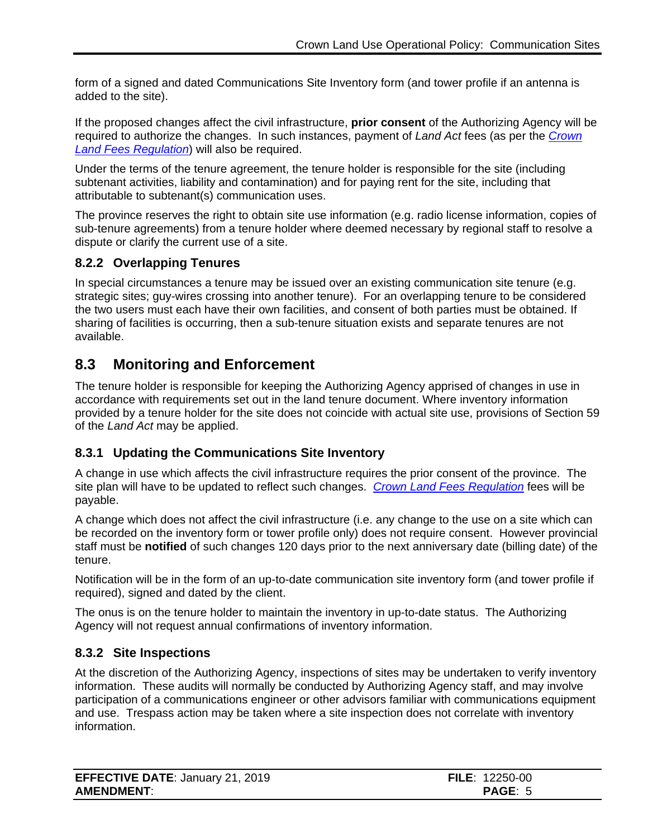form of a signed and dated Communications Site Inventory form (and tower profile if an antenna is added to the site).

If the proposed changes affect the civil infrastructure, **prior consent** of the Authorizing Agency will be required to authorize the changes. In such instances, payment of *Land Act* fees (as per the *[Crown](http://www.bclaws.ca/Recon/document/ID/freeside/177_2003)  Land Fees [Regulation](http://www.bclaws.ca/Recon/document/ID/freeside/177_2003)*) will also be required.

Under the terms of the tenure agreement, the tenure holder is responsible for the site (including subtenant activities, liability and contamination) and for paying rent for the site, including that attributable to subtenant(s) communication uses.

The province reserves the right to obtain site use information (e.g. radio license information, copies of sub-tenure agreements) from a tenure holder where deemed necessary by regional staff to resolve a dispute or clarify the current use of a site.

#### <span id="page-7-0"></span>**8.2.2 Overlapping Tenures**

In special circumstances a tenure may be issued over an existing communication site tenure (e.g. strategic sites; guy-wires crossing into another tenure). For an overlapping tenure to be considered the two users must each have their own facilities, and consent of both parties must be obtained. If sharing of facilities is occurring, then a sub-tenure situation exists and separate tenures are not available.

## <span id="page-7-1"></span>**8.3 Monitoring and Enforcement**

The tenure holder is responsible for keeping the Authorizing Agency apprised of changes in use in accordance with requirements set out in the land tenure document. Where inventory information provided by a tenure holder for the site does not coincide with actual site use, provisions of Section 59 of the *Land Act* may be applied.

#### <span id="page-7-2"></span>**8.3.1 Updating the Communications Site Inventory**

A change in use which affects the civil infrastructure requires the prior consent of the province. The site plan will have to be updated to reflect such changes. *[Crown Land Fees Regulation](http://www.bclaws.ca/Recon/document/ID/freeside/177_2003)* fees will be payable.

A change which does not affect the civil infrastructure (i.e. any change to the use on a site which can be recorded on the inventory form or tower profile only) does not require consent. However provincial staff must be **notified** of such changes 120 days prior to the next anniversary date (billing date) of the tenure.

Notification will be in the form of an up-to-date communication site inventory form (and tower profile if required), signed and dated by the client.

The onus is on the tenure holder to maintain the inventory in up-to-date status. The Authorizing Agency will not request annual confirmations of inventory information.

#### <span id="page-7-3"></span>**8.3.2 Site Inspections**

At the discretion of the Authorizing Agency, inspections of sites may be undertaken to verify inventory information. These audits will normally be conducted by Authorizing Agency staff, and may involve participation of a communications engineer or other advisors familiar with communications equipment and use. Trespass action may be taken where a site inspection does not correlate with inventory information.

| <b>EFFECTIVE DATE: January 21, 2019</b> | <b>FILE:</b> $12250-00$ |
|-----------------------------------------|-------------------------|
| <b>AMENDMENT:</b>                       | <b>PAGE: 5</b>          |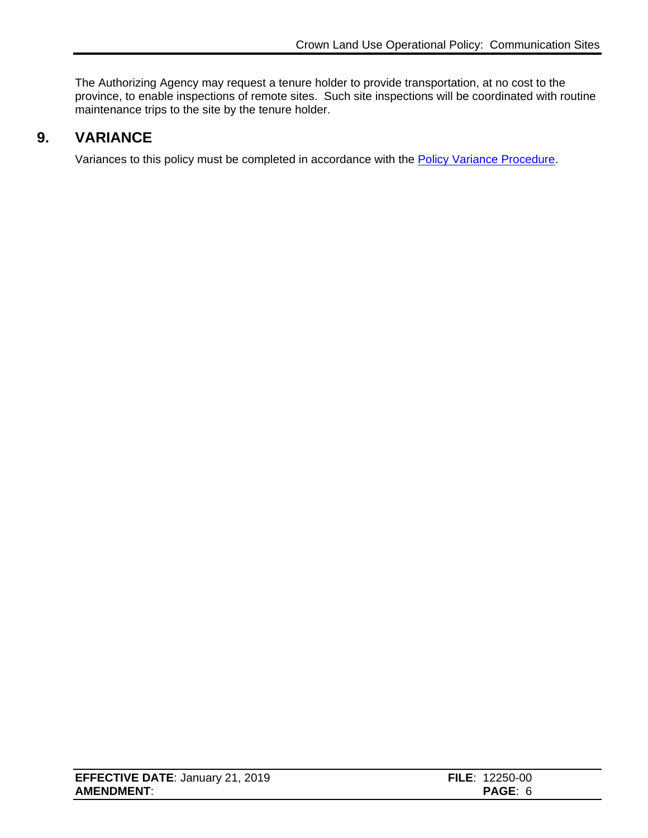The Authorizing Agency may request a tenure holder to provide transportation, at no cost to the province, to enable inspections of remote sites. Such site inspections will be coordinated with routine maintenance trips to the site by the tenure holder.

## **9. VARIANCE**

<span id="page-8-0"></span>Variances to this policy must be completed in accordance with the [Policy Variance Procedure.](http://www2.gov.bc.ca/assets/gov/farming-natural-resources-and-industry/natural-resource-use/land-water-use/crown-land/variance.pdf)

| <b>EFFECTIVE DATE: January 21, 2019</b> | <b>FILE:</b> $12250-00$ |
|-----------------------------------------|-------------------------|
| <b>AMENDMENT:</b>                       | <b>PAGE:</b>            |